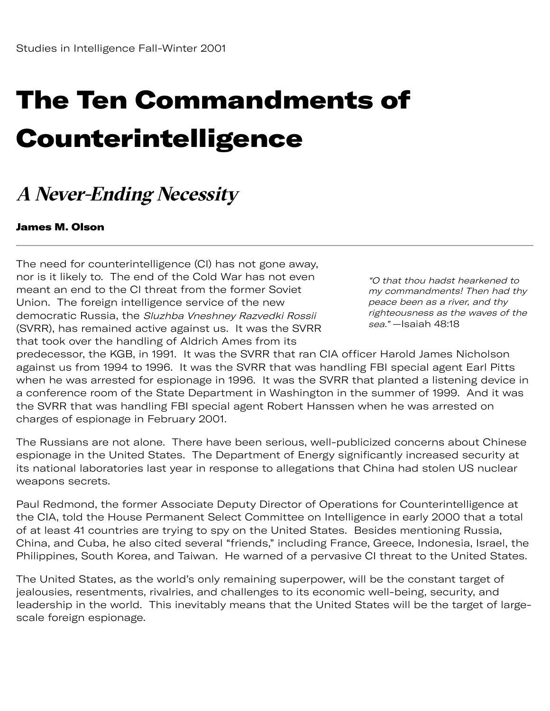# The Ten Commandments of Counterintelligence

## **A Never-Ending Necessity**

#### <span id="page-0-0"></span>[James M. Olson](#page-7-0)

The need for counterintelligence (CI) has not gone away, nor is it likely to. The end of the Cold War has not even meant an end to the CI threat from the former Soviet Union. The foreign intelligence service of the new democratic Russia, the Sluzhba Vneshney Razvedki Rossii (SVRR), has remained active against us. It was the SVRR that took over the handling of Aldrich Ames from its

"O that thou hadst hearkened to my commandments! Then had thy peace been as a river, and thy righteousness as the waves of the sea." —Isaiah 48:18

predecessor, the KGB, in 1991. It was the SVRR that ran CIA officer Harold James Nicholson against us from 1994 to 1996. It was the SVRR that was handling FBI special agent Earl Pitts when he was arrested for espionage in 1996. It was the SVRR that planted a listening device in a conference room of the State Department in Washington in the summer of 1999. And it was the SVRR that was handling FBI special agent Robert Hanssen when he was arrested on charges of espionage in February 2001.

The Russians are not alone. There have been serious, well-publicized concerns about Chinese espionage in the United States. The Department of Energy significantly increased security at its national laboratories last year in response to allegations that China had stolen US nuclear weapons secrets.

Paul Redmond, the former Associate Deputy Director of Operations for Counterintelligence at the CIA, told the House Permanent Select Committee on Intelligence in early 2000 that a total of at least 41 countries are trying to spy on the United States. Besides mentioning Russia, China, and Cuba, he also cited several "friends," including France, Greece, Indonesia, Israel, the Philippines, South Korea, and Taiwan. He warned of a pervasive CI threat to the United States.

The United States, as the world's only remaining superpower, will be the constant target of jealousies, resentments, rivalries, and challenges to its economic well-being, security, and leadership in the world. This inevitably means that the United States will be the target of largescale foreign espionage.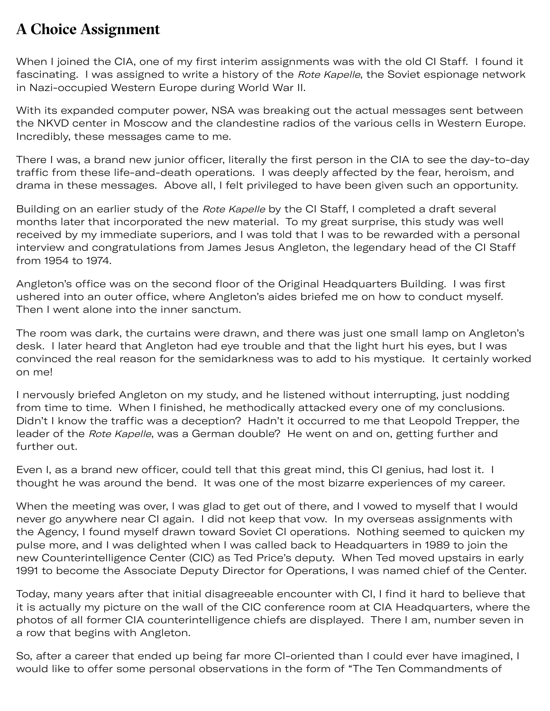### **A Choice Assignment**

When I joined the CIA, one of my first interim assignments was with the old CI Staff. I found it fascinating. I was assigned to write a history of the Rote Kapelle, the Soviet espionage network in Nazi-occupied Western Europe during World War II.

With its expanded computer power, NSA was breaking out the actual messages sent between the NKVD center in Moscow and the clandestine radios of the various cells in Western Europe. Incredibly, these messages came to me.

There I was, a brand new junior officer, literally the first person in the CIA to see the day-to-day traffic from these life-and-death operations. I was deeply affected by the fear, heroism, and drama in these messages. Above all, I felt privileged to have been given such an opportunity.

Building on an earlier study of the Rote Kapelle by the CI Staff, I completed a draft several months later that incorporated the new material. To my great surprise, this study was well received by my immediate superiors, and I was told that I was to be rewarded with a personal interview and congratulations from James Jesus Angleton, the legendary head of the CI Staff from 1954 to 1974.

Angleton's office was on the second floor of the Original Headquarters Building. I was first ushered into an outer office, where Angleton's aides briefed me on how to conduct myself. Then I went alone into the inner sanctum.

The room was dark, the curtains were drawn, and there was just one small lamp on Angleton's desk. I later heard that Angleton had eye trouble and that the light hurt his eyes, but I was convinced the real reason for the semidarkness was to add to his mystique. It certainly worked on me!

I nervously briefed Angleton on my study, and he listened without interrupting, just nodding from time to time. When I finished, he methodically attacked every one of my conclusions. Didn't I know the traffic was a deception? Hadn't it occurred to me that Leopold Trepper, the leader of the Rote Kapelle, was a German double? He went on and on, getting further and further out.

Even I, as a brand new officer, could tell that this great mind, this CI genius, had lost it. I thought he was around the bend. It was one of the most bizarre experiences of my career.

When the meeting was over, I was glad to get out of there, and I vowed to myself that I would never go anywhere near CI again. I did not keep that vow. In my overseas assignments with the Agency, I found myself drawn toward Soviet CI operations. Nothing seemed to quicken my pulse more, and I was delighted when I was called back to Headquarters in 1989 to join the new Counterintelligence Center (CIC) as Ted Price's deputy. When Ted moved upstairs in early 1991 to become the Associate Deputy Director for Operations, I was named chief of the Center.

Today, many years after that initial disagreeable encounter with CI, I find it hard to believe that it is actually my picture on the wall of the CIC conference room at CIA Headquarters, where the photos of all former CIA counterintelligence chiefs are displayed. There I am, number seven in a row that begins with Angleton.

So, after a career that ended up being far more CI-oriented than I could ever have imagined, I would like to offer some personal observations in the form of "The Ten Commandments of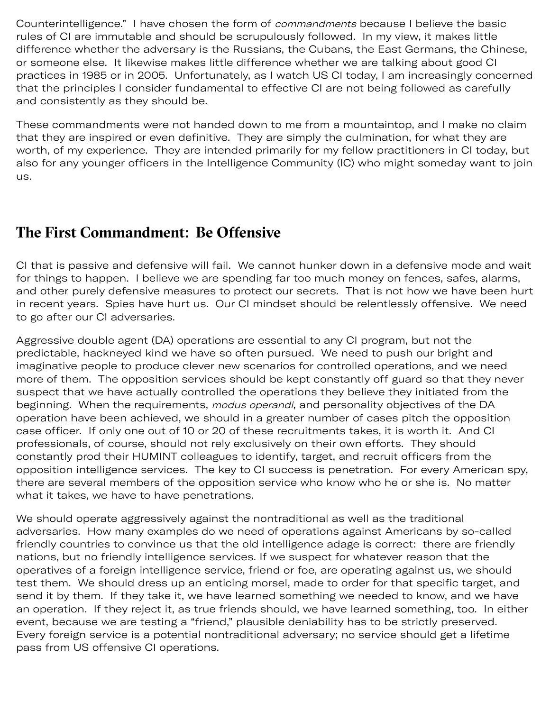Counterintelligence." I have chosen the form of *commandments* because I believe the basic rules of CI are immutable and should be scrupulously followed. In my view, it makes little difference whether the adversary is the Russians, the Cubans, the East Germans, the Chinese, or someone else. It likewise makes little difference whether we are talking about good CI practices in 1985 or in 2005. Unfortunately, as I watch US CI today, I am increasingly concerned that the principles I consider fundamental to effective CI are not being followed as carefully and consistently as they should be.

These commandments were not handed down to me from a mountaintop, and I make no claim that they are inspired or even definitive. They are simply the culmination, for what they are worth, of my experience. They are intended primarily for my fellow practitioners in CI today, but also for any younger officers in the Intelligence Community (IC) who might someday want to join us.

#### **The First Commandment: Be Offensive**

CI that is passive and defensive will fail. We cannot hunker down in a defensive mode and wait for things to happen. I believe we are spending far too much money on fences, safes, alarms, and other purely defensive measures to protect our secrets. That is not how we have been hurt in recent years. Spies have hurt us. Our CI mindset should be relentlessly offensive. We need to go after our CI adversaries.

Aggressive double agent (DA) operations are essential to any CI program, but not the predictable, hackneyed kind we have so often pursued. We need to push our bright and imaginative people to produce clever new scenarios for controlled operations, and we need more of them. The opposition services should be kept constantly off guard so that they never suspect that we have actually controlled the operations they believe they initiated from the beginning. When the requirements, modus operandi, and personality objectives of the DA operation have been achieved, we should in a greater number of cases pitch the opposition case officer. If only one out of 10 or 20 of these recruitments takes, it is worth it. And CI professionals, of course, should not rely exclusively on their own efforts. They should constantly prod their HUMINT colleagues to identify, target, and recruit officers from the opposition intelligence services. The key to CI success is penetration. For every American spy, there are several members of the opposition service who know who he or she is. No matter what it takes, we have to have penetrations.

We should operate aggressively against the nontraditional as well as the traditional adversaries. How many examples do we need of operations against Americans by so-called friendly countries to convince us that the old intelligence adage is correct: there are friendly nations, but no friendly intelligence services. If we suspect for whatever reason that the operatives of a foreign intelligence service, friend or foe, are operating against us, we should test them. We should dress up an enticing morsel, made to order for that specific target, and send it by them. If they take it, we have learned something we needed to know, and we have an operation. If they reject it, as true friends should, we have learned something, too. In either event, because we are testing a "friend," plausible deniability has to be strictly preserved. Every foreign service is a potential nontraditional adversary; no service should get a lifetime pass from US offensive CI operations.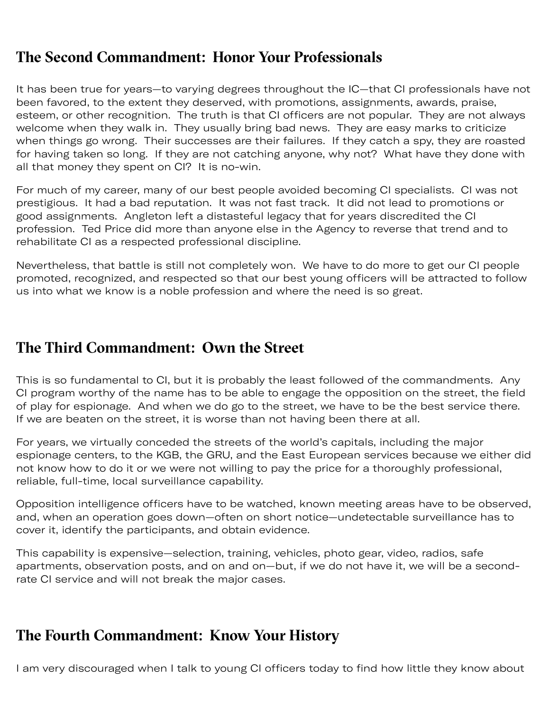#### **The Second Commandment: Honor Your Professionals**

It has been true for years—to varying degrees throughout the IC—that CI professionals have not been favored, to the extent they deserved, with promotions, assignments, awards, praise, esteem, or other recognition. The truth is that CI officers are not popular. They are not always welcome when they walk in. They usually bring bad news. They are easy marks to criticize when things go wrong. Their successes are their failures. If they catch a spy, they are roasted for having taken so long. If they are not catching anyone, why not? What have they done with all that money they spent on CI? It is no-win.

For much of my career, many of our best people avoided becoming CI specialists. CI was not prestigious. It had a bad reputation. It was not fast track. It did not lead to promotions or good assignments. Angleton left a distasteful legacy that for years discredited the CI profession. Ted Price did more than anyone else in the Agency to reverse that trend and to rehabilitate CI as a respected professional discipline.

Nevertheless, that battle is still not completely won. We have to do more to get our CI people promoted, recognized, and respected so that our best young officers will be attracted to follow us into what we know is a noble profession and where the need is so great.

#### **The Third Commandment: Own the Street**

This is so fundamental to CI, but it is probably the least followed of the commandments. Any CI program worthy of the name has to be able to engage the opposition on the street, the field of play for espionage. And when we do go to the street, we have to be the best service there. If we are beaten on the street, it is worse than not having been there at all.

For years, we virtually conceded the streets of the world's capitals, including the major espionage centers, to the KGB, the GRU, and the East European services because we either did not know how to do it or we were not willing to pay the price for a thoroughly professional, reliable, full-time, local surveillance capability.

Opposition intelligence officers have to be watched, known meeting areas have to be observed, and, when an operation goes down—often on short notice—undetectable surveillance has to cover it, identify the participants, and obtain evidence.

This capability is expensive—selection, training, vehicles, photo gear, video, radios, safe apartments, observation posts, and on and on—but, if we do not have it, we will be a secondrate CI service and will not break the major cases.

#### **The Fourth Commandment: Know Your History**

I am very discouraged when I talk to young CI officers today to find how little they know about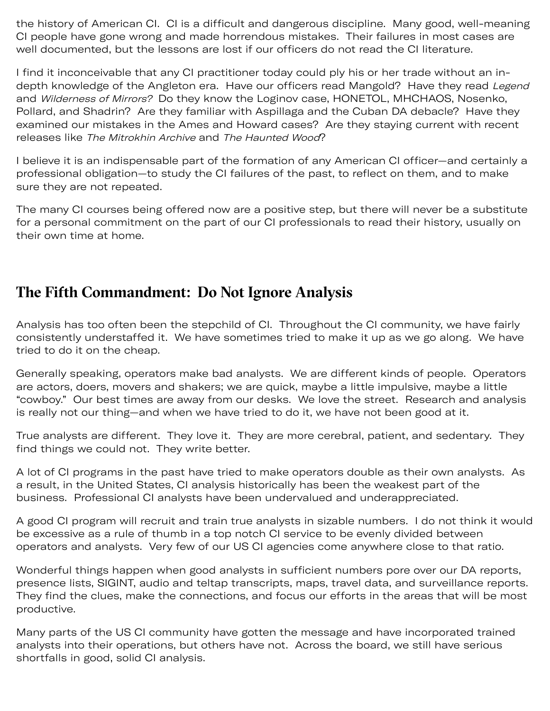the history of American CI. CI is a difficult and dangerous discipline. Many good, well-meaning CI people have gone wrong and made horrendous mistakes. Their failures in most cases are well documented, but the lessons are lost if our officers do not read the CI literature.

I find it inconceivable that any CI practitioner today could ply his or her trade without an indepth knowledge of the Angleton era. Have our officers read Mangold? Have they read Legend and Wilderness of Mirrors? Do they know the Loginov case, HONETOL, MHCHAOS, Nosenko, Pollard, and Shadrin? Are they familiar with Aspillaga and the Cuban DA debacle? Have they examined our mistakes in the Ames and Howard cases? Are they staying current with recent releases like The Mitrokhin Archive and The Haunted Wood?

I believe it is an indispensable part of the formation of any American CI officer—and certainly a professional obligation—to study the CI failures of the past, to reflect on them, and to make sure they are not repeated.

The many CI courses being offered now are a positive step, but there will never be a substitute for a personal commitment on the part of our CI professionals to read their history, usually on their own time at home.

#### **The Fifth Commandment: Do Not Ignore Analysis**

Analysis has too often been the stepchild of CI. Throughout the CI community, we have fairly consistently understaffed it. We have sometimes tried to make it up as we go along. We have tried to do it on the cheap.

Generally speaking, operators make bad analysts. We are different kinds of people. Operators are actors, doers, movers and shakers; we are quick, maybe a little impulsive, maybe a little "cowboy." Our best times are away from our desks. We love the street. Research and analysis is really not our thing—and when we have tried to do it, we have not been good at it.

True analysts are different. They love it. They are more cerebral, patient, and sedentary. They find things we could not. They write better.

A lot of CI programs in the past have tried to make operators double as their own analysts. As a result, in the United States, CI analysis historically has been the weakest part of the business. Professional CI analysts have been undervalued and underappreciated.

A good CI program will recruit and train true analysts in sizable numbers. I do not think it would be excessive as a rule of thumb in a top notch CI service to be evenly divided between operators and analysts. Very few of our US CI agencies come anywhere close to that ratio.

Wonderful things happen when good analysts in sufficient numbers pore over our DA reports, presence lists, SIGINT, audio and teltap transcripts, maps, travel data, and surveillance reports. They find the clues, make the connections, and focus our efforts in the areas that will be most productive.

Many parts of the US CI community have gotten the message and have incorporated trained analysts into their operations, but others have not. Across the board, we still have serious shortfalls in good, solid CI analysis.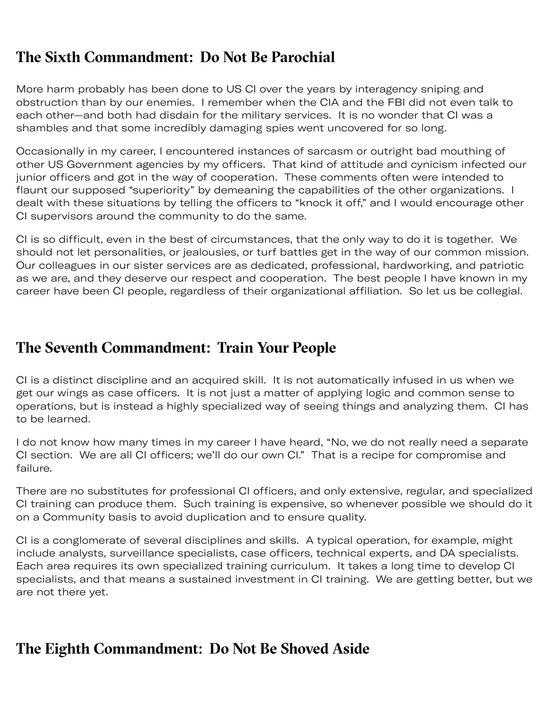#### **The Sixth Commandment: Do Not Be Parochial**

More harm probably has been done to US CI over the years by interagency sniping and obstruction than by our enemies. I remember when the CIA and the FBI did not even talk to each other—and both had disdain for the military services. It is no wonder that CI was a shambles and that some incredibly damaging spies went uncovered for so long.

Occasionally in my career, I encountered instances of sarcasm or outright bad mouthing of other US Government agencies by my officers. That kind of attitude and cynicism infected our junior officers and got in the way of cooperation. These comments often were intended to flaunt our supposed "superiority" by demeaning the capabilities of the other organizations. I dealt with these situations by telling the officers to "knock it off," and I would encourage other CI supervisors around the community to do the same.

CI is so difficult, even in the best of circumstances, that the only way to do it is together. We should not let personalities, or jealousies, or turf battles get in the way of our common mission. Our colleagues in our sister services are as dedicated, professional, hardworking, and patriotic as we are, and they deserve our respect and cooperation. The best people I have known in my career have been CI people, regardless of their organizational affiliation. So let us be collegial.

#### **The Seventh Commandment: Train Your People**

CI is a distinct discipline and an acquired skill. It is not automatically infused in us when we get our wings as case officers. It is not just a matter of applying logic and common sense to operations, but is instead a highly specialized way of seeing things and analyzing them. CI has to be learned.

I do not know how many times in my career I have heard, "No, we do not really need a separate CI section. We are all CI officers; we'll do our own CI." That is a recipe for compromise and failure.

There are no substitutes for professional CI officers, and only extensive, regular, and specialized CI training can produce them. Such training is expensive, so whenever possible we should do it on a Community basis to avoid duplication and to ensure quality.

CI is a conglomerate of several disciplines and skills. A typical operation, for example, might include analysts, surveillance specialists, case officers, technical experts, and DA specialists. Each area requires its own specialized training curriculum. It takes a long time to develop CI specialists, and that means a sustained investment in CI training. We are getting better, but we are not there yet.

### **The Eighth Commandment: Do Not Be Shoved Aside**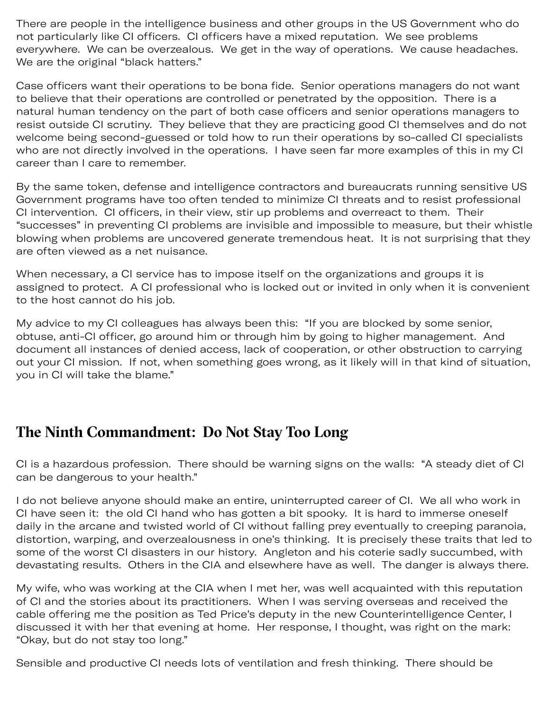There are people in the intelligence business and other groups in the US Government who do not particularly like CI officers. CI officers have a mixed reputation. We see problems everywhere. We can be overzealous. We get in the way of operations. We cause headaches. We are the original "black hatters."

Case officers want their operations to be bona fide. Senior operations managers do not want to believe that their operations are controlled or penetrated by the opposition. There is a natural human tendency on the part of both case officers and senior operations managers to resist outside CI scrutiny. They believe that they are practicing good CI themselves and do not welcome being second-guessed or told how to run their operations by so-called CI specialists who are not directly involved in the operations. I have seen far more examples of this in my CI career than I care to remember.

By the same token, defense and intelligence contractors and bureaucrats running sensitive US Government programs have too often tended to minimize CI threats and to resist professional CI intervention. CI officers, in their view, stir up problems and overreact to them. Their "successes" in preventing CI problems are invisible and impossible to measure, but their whistle blowing when problems are uncovered generate tremendous heat. It is not surprising that they are often viewed as a net nuisance.

When necessary, a CI service has to impose itself on the organizations and groups it is assigned to protect. A CI professional who is locked out or invited in only when it is convenient to the host cannot do his job.

My advice to my CI colleagues has always been this: "If you are blocked by some senior, obtuse, anti-CI officer, go around him or through him by going to higher management. And document all instances of denied access, lack of cooperation, or other obstruction to carrying out your CI mission. If not, when something goes wrong, as it likely will in that kind of situation, you in CI will take the blame."

#### **The Ninth Commandment: Do Not Stay Too Long**

CI is a hazardous profession. There should be warning signs on the walls: "A steady diet of CI can be dangerous to your health."

I do not believe anyone should make an entire, uninterrupted career of CI. We all who work in CI have seen it: the old CI hand who has gotten a bit spooky. It is hard to immerse oneself daily in the arcane and twisted world of CI without falling prey eventually to creeping paranoia, distortion, warping, and overzealousness in one's thinking. It is precisely these traits that led to some of the worst CI disasters in our history. Angleton and his coterie sadly succumbed, with devastating results. Others in the CIA and elsewhere have as well. The danger is always there.

My wife, who was working at the CIA when I met her, was well acquainted with this reputation of CI and the stories about its practitioners. When I was serving overseas and received the cable offering me the position as Ted Price's deputy in the new Counterintelligence Center, I discussed it with her that evening at home. Her response, I thought, was right on the mark: "Okay, but do not stay too long."

Sensible and productive CI needs lots of ventilation and fresh thinking. There should be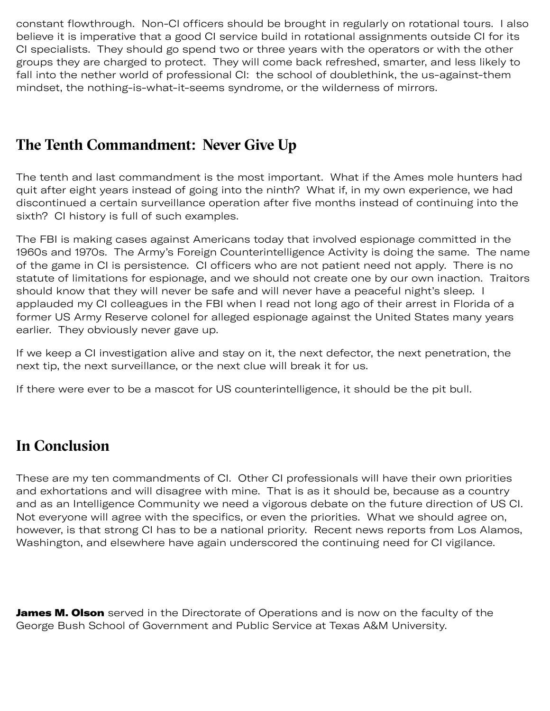constant flowthrough. Non-CI officers should be brought in regularly on rotational tours. I also believe it is imperative that a good CI service build in rotational assignments outside CI for its CI specialists. They should go spend two or three years with the operators or with the other groups they are charged to protect. They will come back refreshed, smarter, and less likely to fall into the nether world of professional CI: the school of doublethink, the us-against-them mindset, the nothing-is-what-it-seems syndrome, or the wilderness of mirrors.

#### **The Tenth Commandment: Never Give Up**

The tenth and last commandment is the most important. What if the Ames mole hunters had quit after eight years instead of going into the ninth? What if, in my own experience, we had discontinued a certain surveillance operation after five months instead of continuing into the sixth? CI history is full of such examples.

The FBI is making cases against Americans today that involved espionage committed in the 1960s and 1970s. The Army's Foreign Counterintelligence Activity is doing the same. The name of the game in CI is persistence. CI officers who are not patient need not apply. There is no statute of limitations for espionage, and we should not create one by our own inaction. Traitors should know that they will never be safe and will never have a peaceful night's sleep. I applauded my CI colleagues in the FBI when I read not long ago of their arrest in Florida of a former US Army Reserve colonel for alleged espionage against the United States many years earlier. They obviously never gave up.

If we keep a CI investigation alive and stay on it, the next defector, the next penetration, the next tip, the next surveillance, or the next clue will break it for us.

If there were ever to be a mascot for US counterintelligence, it should be the pit bull.

#### **In Conclusion**

These are my ten commandments of CI. Other CI professionals will have their own priorities and exhortations and will disagree with mine. That is as it should be, because as a country and as an Intelligence Community we need a vigorous debate on the future direction of US CI. Not everyone will agree with the specifics, or even the priorities. What we should agree on, however, is that strong CI has to be a national priority. Recent news reports from Los Alamos, Washington, and elsewhere have again underscored the continuing need for CI vigilance.

<span id="page-7-0"></span>[James M. Olson](#page-0-0) served in the Directorate of Operations and is now on the faculty of the George Bush School of Government and Public Service at Texas A&M University.